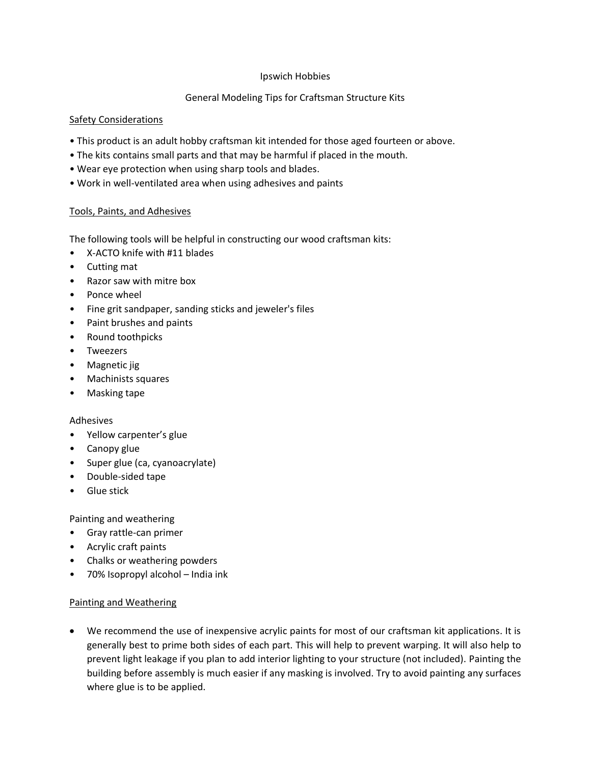## Ipswich Hobbies

# General Modeling Tips for Craftsman Structure Kits

## Safety Considerations

- This product is an adult hobby craftsman kit intended for those aged fourteen or above.
- The kits contains small parts and that may be harmful if placed in the mouth.
- Wear eye protection when using sharp tools and blades.
- Work in well-ventilated area when using adhesives and paints

### Tools, Paints, and Adhesives

The following tools will be helpful in constructing our wood craftsman kits:

- X-ACTO knife with #11 blades
- Cutting mat
- Razor saw with mitre box
- Ponce wheel
- Fine grit sandpaper, sanding sticks and jeweler's files
- Paint brushes and paints
- Round toothpicks
- Tweezers
- Magnetic jig
- Machinists squares
- Masking tape

### Adhesives

- Yellow carpenter's glue
- Canopy glue
- Super glue (ca, cyanoacrylate)
- Double-sided tape
- Glue stick

Painting and weathering

- Gray rattle-can primer
- Acrylic craft paints
- Chalks or weathering powders
- 70% Isopropyl alcohol India ink

### Painting and Weathering

 We recommend the use of inexpensive acrylic paints for most of our craftsman kit applications. It is generally best to prime both sides of each part. This will help to prevent warping. It will also help to prevent light leakage if you plan to add interior lighting to your structure (not included). Painting the building before assembly is much easier if any masking is involved. Try to avoid painting any surfaces where glue is to be applied.